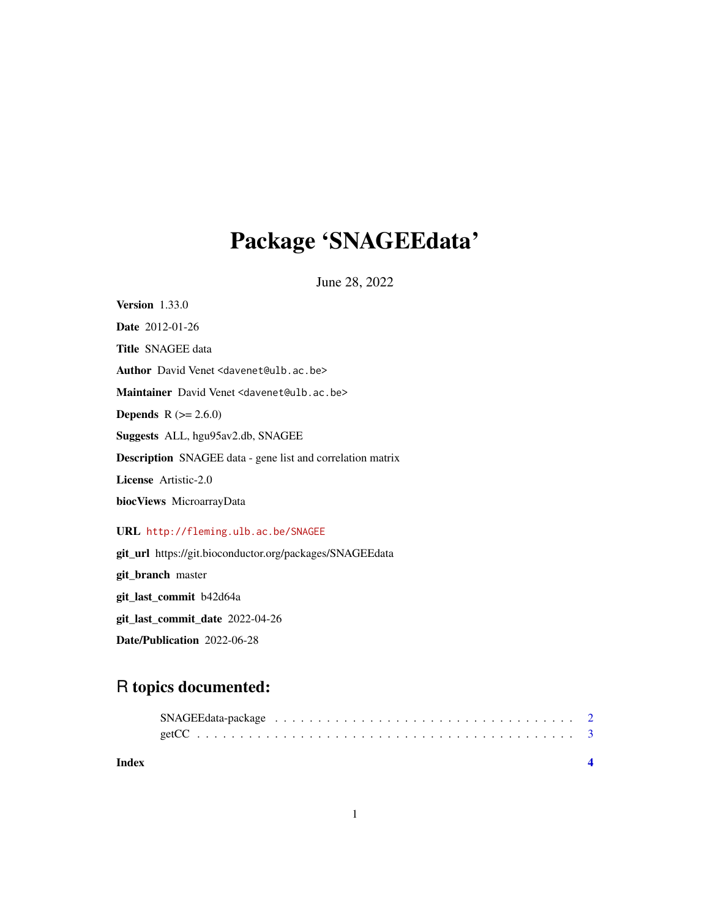# Package 'SNAGEEdata'

June 28, 2022

Version 1.33.0 Date 2012-01-26 Title SNAGEE data Author David Venet <davenet@ulb.ac.be> Maintainer David Venet <davenet@ulb.ac.be> **Depends** R  $(>= 2.6.0)$ Suggests ALL, hgu95av2.db, SNAGEE Description SNAGEE data - gene list and correlation matrix License Artistic-2.0 biocViews MicroarrayData URL <http://fleming.ulb.ac.be/SNAGEE>

git\_url https://git.bioconductor.org/packages/SNAGEEdata git\_branch master git\_last\_commit b42d64a git\_last\_commit\_date 2022-04-26 Date/Publication 2022-06-28

# R topics documented:

| Index |  |  |  |  |  |  |  |  |  |  |  |  |  |
|-------|--|--|--|--|--|--|--|--|--|--|--|--|--|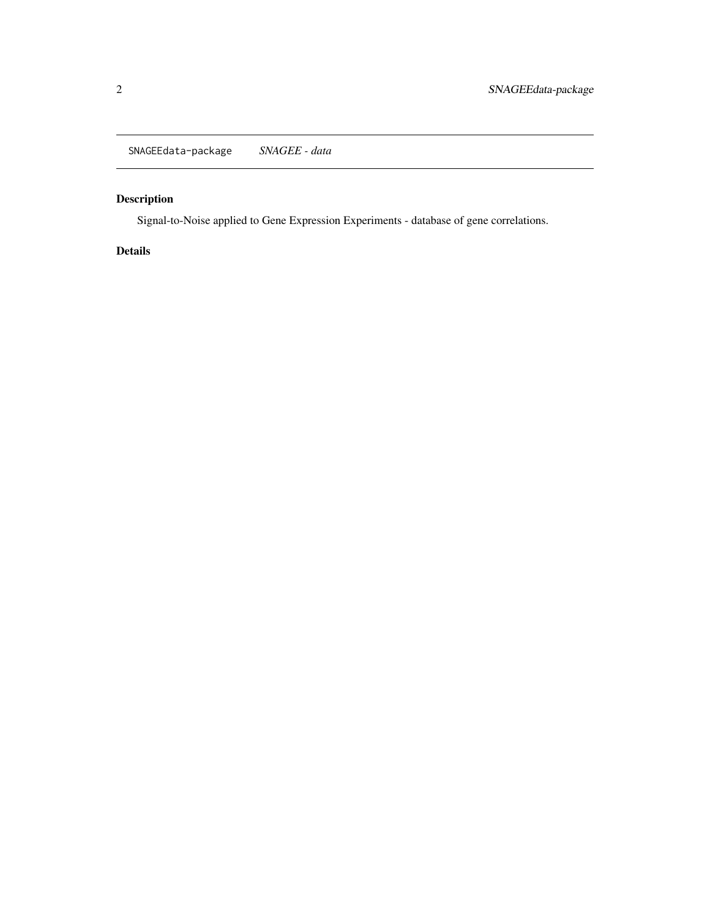<span id="page-1-0"></span>SNAGEEdata-package *SNAGEE - data*

## Description

Signal-to-Noise applied to Gene Expression Experiments - database of gene correlations.

## Details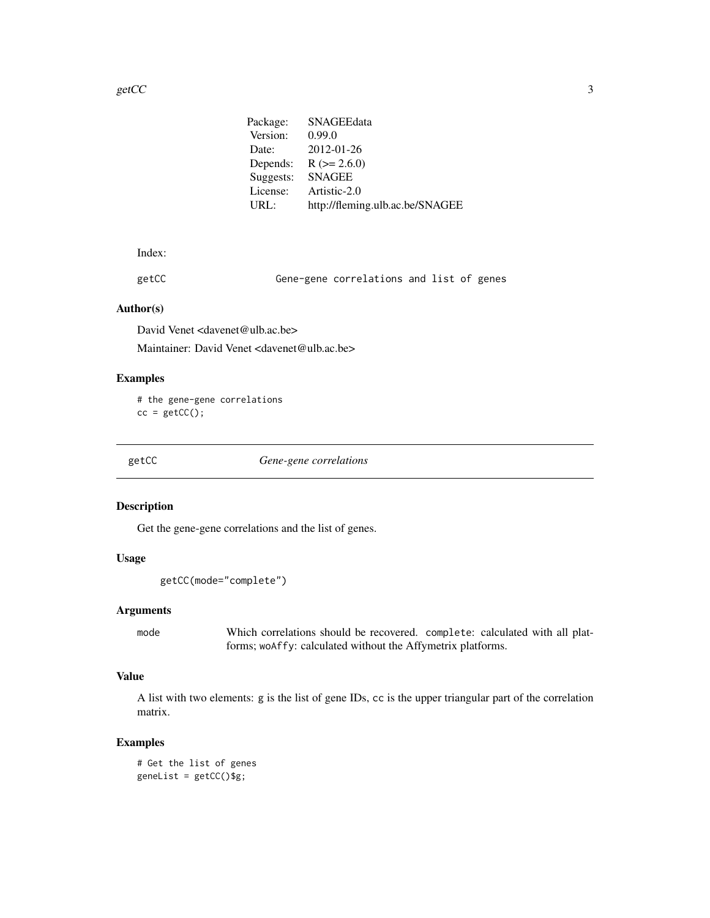<span id="page-2-0"></span>

| Package:  | SNAGEEdata                      |
|-----------|---------------------------------|
| Version:  | 0.99.0                          |
| Date:     | 2012-01-26                      |
| Depends:  | $R (= 2.6.0)$                   |
| Suggests: | <b>SNAGEE</b>                   |
| License:  | Artistic-2.0                    |
| URL:      | http://fleming.ulb.ac.be/SNAGEE |
|           |                                 |

#### Index:

getCC Gene-gene correlations and list of genes

#### Author(s)

David Venet <davenet@ulb.ac.be>

Maintainer: David Venet <davenet@ulb.ac.be>

#### Examples

# the gene-gene correlations  $cc = getCC()$ ;

getCC *Gene-gene correlations*

#### Description

Get the gene-gene correlations and the list of genes.

#### Usage

```
getCC(mode="complete")
```
#### Arguments

mode Which correlations should be recovered. complete: calculated with all platforms; woAffy: calculated without the Affymetrix platforms.

#### Value

A list with two elements: g is the list of gene IDs, cc is the upper triangular part of the correlation matrix.

#### Examples

```
# Get the list of genes
genelist = getCC()$g;
```